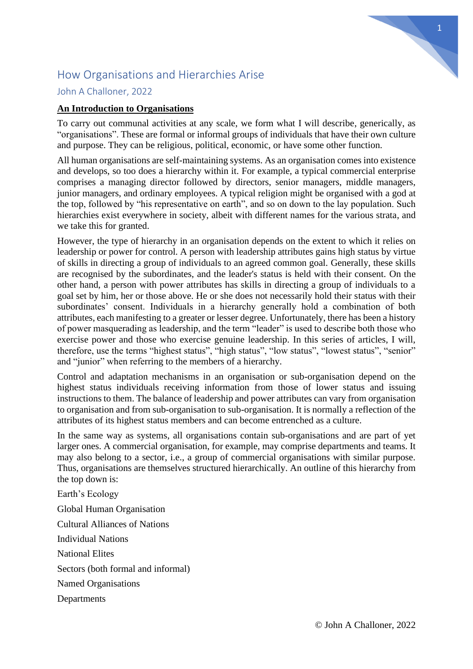

# How Organisations and Hierarchies Arise

# John A Challoner, 2022

# **An Introduction to Organisations**

To carry out communal activities at any scale, we form what I will describe, generically, as "organisations". These are formal or informal groups of individuals that have their own culture and purpose. They can be religious, political, economic, or have some other function.

All human organisations are self-maintaining systems. As an organisation comes into existence and develops, so too does a hierarchy within it. For example, a typical commercial enterprise comprises a managing director followed by directors, senior managers, middle managers, junior managers, and ordinary employees. A typical religion might be organised with a god at the top, followed by "his representative on earth", and so on down to the lay population. Such hierarchies exist everywhere in society, albeit with different names for the various strata, and we take this for granted.

However, the type of hierarchy in an organisation depends on the extent to which it relies on leadership or power for control. A person with leadership attributes gains high status by virtue of skills in directing a group of individuals to an agreed common goal. Generally, these skills are recognised by the subordinates, and the leader's status is held with their consent. On the other hand, a person with power attributes has skills in directing a group of individuals to a goal set by him, her or those above. He or she does not necessarily hold their status with their subordinates' consent. Individuals in a hierarchy generally hold a combination of both attributes, each manifesting to a greater or lesser degree. Unfortunately, there has been a history of power masquerading as leadership, and the term "leader" is used to describe both those who exercise power and those who exercise genuine leadership. In this series of articles, I will, therefore, use the terms "highest status", "high status", "low status", "lowest status", "senior" and "junior" when referring to the members of a hierarchy.

Control and adaptation mechanisms in an organisation or sub-organisation depend on the highest status individuals receiving information from those of lower status and issuing instructions to them. The balance of leadership and power attributes can vary from organisation to organisation and from sub-organisation to sub-organisation. It is normally a reflection of the attributes of its highest status members and can become entrenched as a culture.

In the same way as systems, all organisations contain sub-organisations and are part of yet larger ones. A commercial organisation, for example, may comprise departments and teams. It may also belong to a sector, i.e., a group of commercial organisations with similar purpose. Thus, organisations are themselves structured hierarchically. An outline of this hierarchy from the top down is:

Earth's Ecology Global Human Organisation Cultural Alliances of Nations Individual Nations National Elites Sectors (both formal and informal) Named Organisations Departments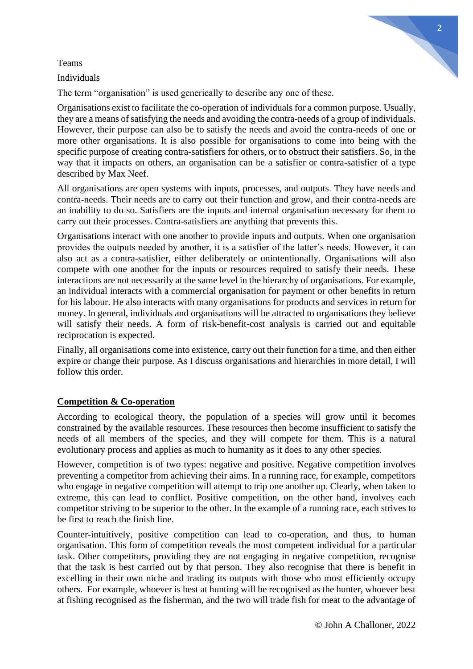## Teams

Individuals

The term "organisation" is used generically to describe any one of these.

Organisations exist to facilitate the co-operation of individuals for a common purpose. Usually, they are a means of satisfying the needs and avoiding the contra-needs of a group of individuals. However, their purpose can also be to satisfy the needs and avoid the contra-needs of one or more other organisations. It is also possible for organisations to come into being with the specific purpose of creating contra-satisfiers for others, or to obstruct their satisfiers. So, in the way that it impacts on others, an organisation can be a satisfier or contra-satisfier of a type described by Max Neef.

All organisations are open systems with inputs, processes, and outputs. They have needs and contra-needs. Their needs are to carry out their function and grow, and their contra-needs are an inability to do so. Satisfiers are the inputs and internal organisation necessary for them to carry out their processes. Contra-satisfiers are anything that prevents this.

Organisations interact with one another to provide inputs and outputs. When one organisation provides the outputs needed by another, it is a satisfier of the latter's needs. However, it can also act as a contra-satisfier, either deliberately or unintentionally. Organisations will also compete with one another for the inputs or resources required to satisfy their needs. These interactions are not necessarily at the same level in the hierarchy of organisations. For example, an individual interacts with a commercial organisation for payment or other benefits in return for his labour. He also interacts with many organisations for products and services in return for money. In general, individuals and organisations will be attracted to organisations they believe will satisfy their needs. A form of risk-benefit-cost analysis is carried out and equitable reciprocation is expected.

Finally, all organisations come into existence, carry out their function for a time, and then either expire or change their purpose. As I discuss organisations and hierarchies in more detail, I will follow this order.

# **Competition & Co-operation**

According to ecological theory, the population of a species will grow until it becomes constrained by the available resources. These resources then become insufficient to satisfy the needs of all members of the species, and they will compete for them. This is a natural evolutionary process and applies as much to humanity as it does to any other species.

However, competition is of two types: negative and positive. Negative competition involves preventing a competitor from achieving their aims. In a running race, for example, competitors who engage in negative competition will attempt to trip one another up. Clearly, when taken to extreme, this can lead to conflict. Positive competition, on the other hand, involves each competitor striving to be superior to the other. In the example of a running race, each strives to be first to reach the finish line.

Counter-intuitively, positive competition can lead to co-operation, and thus, to human organisation. This form of competition reveals the most competent individual for a particular task. Other competitors, providing they are not engaging in negative competition, recognise that the task is best carried out by that person. They also recognise that there is benefit in excelling in their own niche and trading its outputs with those who most efficiently occupy others. For example, whoever is best at hunting will be recognised as the hunter, whoever best at fishing recognised as the fisherman, and the two will trade fish for meat to the advantage of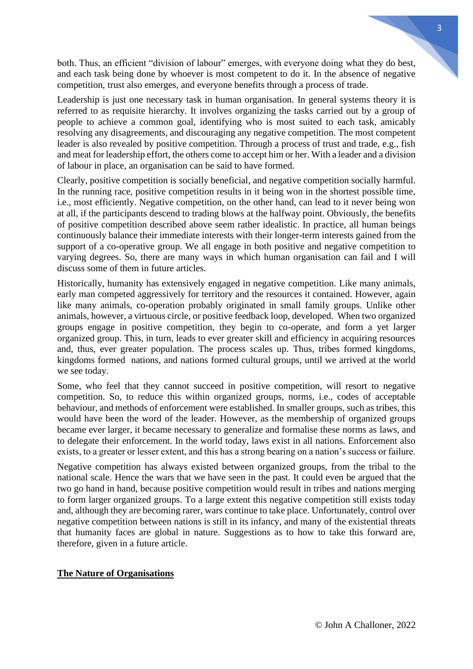both. Thus, an efficient "division of labour" emerges, with everyone doing what they do best, and each task being done by whoever is most competent to do it. In the absence of negative competition, trust also emerges, and everyone benefits through a process of trade.

Leadership is just one necessary task in human organisation. In general systems theory it is referred to as requisite hierarchy. It involves organizing the tasks carried out by a group of people to achieve a common goal, identifying who is most suited to each task, amicably resolving any disagreements, and discouraging any negative competition. The most competent leader is also revealed by positive competition. Through a process of trust and trade, e.g., fish and meat for leadership effort, the others come to accept him or her. With a leader and a division of labour in place, an organisation can be said to have formed.

Clearly, positive competition is socially beneficial, and negative competition socially harmful. In the running race, positive competition results in it being won in the shortest possible time, i.e., most efficiently. Negative competition, on the other hand, can lead to it never being won at all, if the participants descend to trading blows at the halfway point. Obviously, the benefits of positive competition described above seem rather idealistic. In practice, all human beings continuously balance their immediate interests with their longer-term interests gained from the support of a co-operative group. We all engage in both positive and negative competition to varying degrees. So, there are many ways in which human organisation can fail and I will discuss some of them in future articles.

Historically, humanity has extensively engaged in negative competition. Like many animals, early man competed aggressively for territory and the resources it contained. However, again like many animals, co-operation probably originated in small family groups. Unlike other animals, however, a virtuous circle, or positive feedback loop, developed. When two organized groups engage in positive competition, they begin to co-operate, and form a yet larger organized group. This, in turn, leads to ever greater skill and efficiency in acquiring resources and, thus, ever greater population. The process scales up. Thus, tribes formed kingdoms, kingdoms formed nations, and nations formed cultural groups, until we arrived at the world we see today.

Some, who feel that they cannot succeed in positive competition, will resort to negative competition. So, to reduce this within organized groups, norms, i.e., codes of acceptable behaviour, and methods of enforcement were established. In smaller groups, such as tribes, this would have been the word of the leader. However, as the membership of organized groups became ever larger, it became necessary to generalize and formalise these norms as laws, and to delegate their enforcement. In the world today, laws exist in all nations. Enforcement also exists, to a greater or lesser extent, and this has a strong bearing on a nation's success or failure.

Negative competition has always existed between organized groups, from the tribal to the national scale. Hence the wars that we have seen in the past. It could even be argued that the two go hand in hand, because positive competition would result in tribes and nations merging to form larger organized groups. To a large extent this negative competition still exists today and, although they are becoming rarer, wars continue to take place. Unfortunately, control over negative competition between nations is still in its infancy, and many of the existential threats that humanity faces are global in nature. Suggestions as to how to take this forward are, therefore, given in a future article.

### **The Nature of Organisations**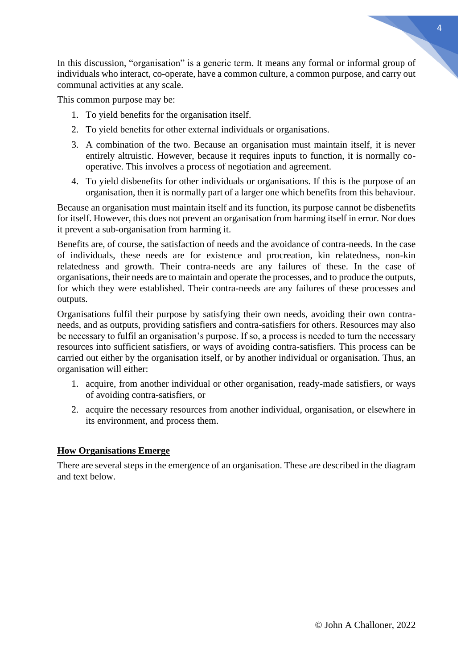In this discussion, "organisation" is a generic term. It means any formal or informal group of individuals who interact, co-operate, have a common culture, a common purpose, and carry out communal activities at any scale.

This common purpose may be:

- 1. To yield benefits for the organisation itself.
- 2. To yield benefits for other external individuals or organisations.
- 3. A combination of the two. Because an organisation must maintain itself, it is never entirely altruistic. However, because it requires inputs to function, it is normally cooperative. This involves a process of negotiation and agreement.
- 4. To yield disbenefits for other individuals or organisations. If this is the purpose of an organisation, then it is normally part of a larger one which benefits from this behaviour.

Because an organisation must maintain itself and its function, its purpose cannot be disbenefits for itself. However, this does not prevent an organisation from harming itself in error. Nor does it prevent a sub-organisation from harming it.

Benefits are, of course, the satisfaction of needs and the avoidance of contra-needs. In the case of individuals, these needs are for existence and procreation, kin relatedness, non-kin relatedness and growth. Their contra-needs are any failures of these. In the case of organisations, their needs are to maintain and operate the processes, and to produce the outputs, for which they were established. Their contra-needs are any failures of these processes and outputs.

Organisations fulfil their purpose by satisfying their own needs, avoiding their own contraneeds, and as outputs, providing satisfiers and contra-satisfiers for others. Resources may also be necessary to fulfil an organisation's purpose. If so, a process is needed to turn the necessary resources into sufficient satisfiers, or ways of avoiding contra-satisfiers. This process can be carried out either by the organisation itself, or by another individual or organisation. Thus, an organisation will either:

- 1. acquire, from another individual or other organisation, ready-made satisfiers, or ways of avoiding contra-satisfiers, or
- 2. acquire the necessary resources from another individual, organisation, or elsewhere in its environment, and process them.

### **How Organisations Emerge**

There are several steps in the emergence of an organisation. These are described in the diagram and text below.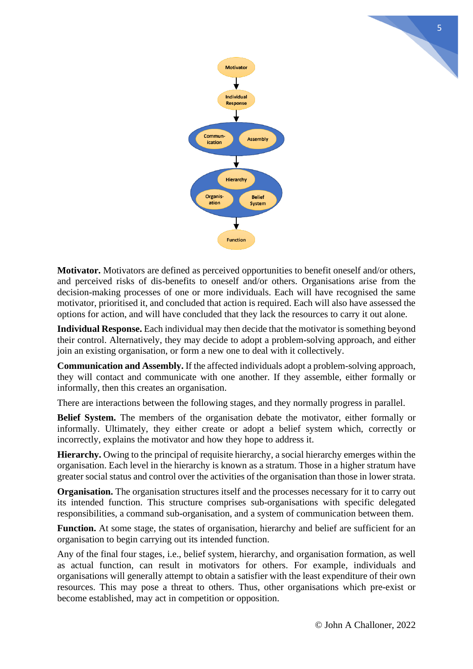

**Motivator.** Motivators are defined as perceived opportunities to benefit oneself and/or others, and perceived risks of dis-benefits to oneself and/or others. Organisations arise from the decision-making processes of one or more individuals. Each will have recognised the same motivator, prioritised it, and concluded that action is required. Each will also have assessed the options for action, and will have concluded that they lack the resources to carry it out alone.

**Individual Response.** Each individual may then decide that the motivator is something beyond their control. Alternatively, they may decide to adopt a problem-solving approach, and either join an existing organisation, or form a new one to deal with it collectively.

**Communication and Assembly.** If the affected individuals adopt a problem-solving approach, they will contact and communicate with one another. If they assemble, either formally or informally, then this creates an organisation.

There are interactions between the following stages, and they normally progress in parallel.

**Belief System.** The members of the organisation debate the motivator, either formally or informally. Ultimately, they either create or adopt a belief system which, correctly or incorrectly, explains the motivator and how they hope to address it.

**Hierarchy.** Owing to the principal of requisite hierarchy, a social hierarchy emerges within the organisation. Each level in the hierarchy is known as a stratum. Those in a higher stratum have greater social status and control over the activities of the organisation than those in lower strata.

**Organisation.** The organisation structures itself and the processes necessary for it to carry out its intended function. This structure comprises sub-organisations with specific delegated responsibilities, a command sub-organisation, and a system of communication between them.

**Function.** At some stage, the states of organisation, hierarchy and belief are sufficient for an organisation to begin carrying out its intended function.

Any of the final four stages, i.e., belief system, hierarchy, and organisation formation, as well as actual function, can result in motivators for others. For example, individuals and organisations will generally attempt to obtain a satisfier with the least expenditure of their own resources. This may pose a threat to others. Thus, other organisations which pre-exist or become established, may act in competition or opposition.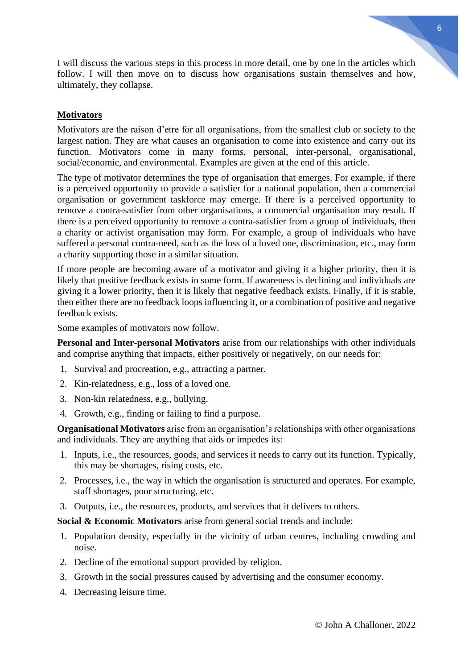I will discuss the various steps in this process in more detail, one by one in the articles which follow. I will then move on to discuss how organisations sustain themselves and how, ultimately, they collapse.

## **Motivators**

Motivators are the raison d'etre for all organisations, from the smallest club or society to the largest nation. They are what causes an organisation to come into existence and carry out its function. Motivators come in many forms, personal, inter-personal, organisational, social/economic, and environmental. Examples are given at the end of this article.

The type of motivator determines the type of organisation that emerges. For example, if there is a perceived opportunity to provide a satisfier for a national population, then a commercial organisation or government taskforce may emerge. If there is a perceived opportunity to remove a contra-satisfier from other organisations, a commercial organisation may result. If there is a perceived opportunity to remove a contra-satisfier from a group of individuals, then a charity or activist organisation may form. For example, a group of individuals who have suffered a personal contra-need, such as the loss of a loved one, discrimination, etc., may form a charity supporting those in a similar situation.

If more people are becoming aware of a motivator and giving it a higher priority, then it is likely that positive feedback exists in some form. If awareness is declining and individuals are giving it a lower priority, then it is likely that negative feedback exists. Finally, if it is stable, then either there are no feedback loops influencing it, or a combination of positive and negative feedback exists.

Some examples of motivators now follow.

**Personal and Inter-personal Motivators** arise from our relationships with other individuals and comprise anything that impacts, either positively or negatively, on our needs for:

- 1. Survival and procreation, e.g., attracting a partner.
- 2. Kin-relatedness, e.g., loss of a loved one.
- 3. Non-kin relatedness, e.g., bullying.
- 4. Growth, e.g., finding or failing to find a purpose.

**Organisational Motivators** arise from an organisation's relationships with other organisations and individuals. They are anything that aids or impedes its:

- 1. Inputs, i.e., the resources, goods, and services it needs to carry out its function. Typically, this may be shortages, rising costs, etc.
- 2. Processes, i.e., the way in which the organisation is structured and operates. For example, staff shortages, poor structuring, etc.
- 3. Outputs, i.e., the resources, products, and services that it delivers to others.

**Social & Economic Motivators** arise from general social trends and include:

- 1. Population density, especially in the vicinity of urban centres, including crowding and noise.
- 2. Decline of the emotional support provided by religion.
- 3. Growth in the social pressures caused by advertising and the consumer economy.
- 4. Decreasing leisure time.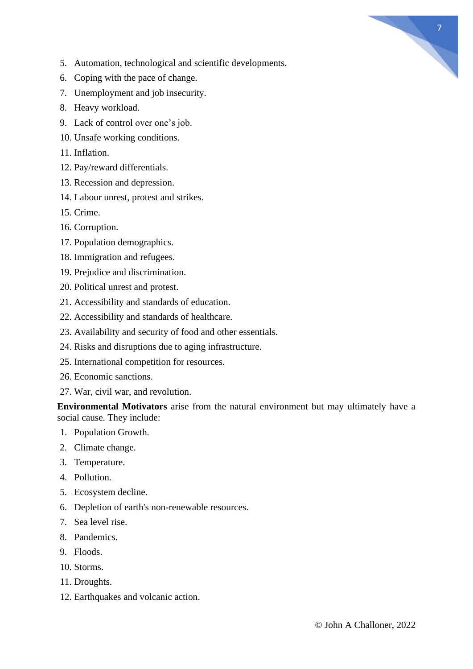

- 5. Automation, technological and scientific developments.
- 6. Coping with the pace of change.
- 7. Unemployment and job insecurity.
- 8. Heavy workload.
- 9. Lack of control over one's job.
- 10. Unsafe working conditions.
- 11. Inflation.
- 12. Pay/reward differentials.
- 13. Recession and depression.
- 14. Labour unrest, protest and strikes.
- 15. Crime.
- 16. Corruption.
- 17. Population demographics.
- 18. Immigration and refugees.
- 19. Prejudice and discrimination.
- 20. Political unrest and protest.
- 21. Accessibility and standards of education.
- 22. Accessibility and standards of healthcare.
- 23. Availability and security of food and other essentials.
- 24. Risks and disruptions due to aging infrastructure.
- 25. International competition for resources.
- 26. Economic sanctions.
- 27. War, civil war, and revolution.

**Environmental Motivators** arise from the natural environment but may ultimately have a social cause. They include:

- 1. Population Growth.
- 2. Climate change.
- 3. Temperature.
- 4. Pollution.
- 5. Ecosystem decline.
- 6. Depletion of earth's non-renewable resources.
- 7. Sea level rise.
- 8. Pandemics.
- 9. Floods.
- 10. Storms.
- 11. Droughts.
- 12. Earthquakes and volcanic action.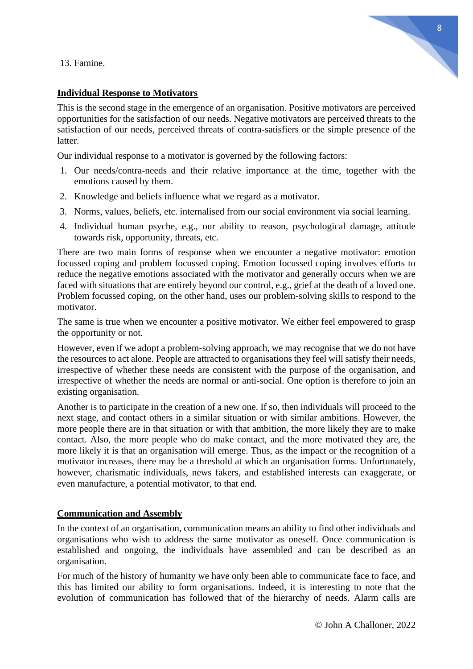13. Famine.

# 8

# **Individual Response to Motivators**

This is the second stage in the emergence of an organisation. Positive motivators are perceived opportunities for the satisfaction of our needs. Negative motivators are perceived threats to the satisfaction of our needs, perceived threats of contra-satisfiers or the simple presence of the **latter** 

Our individual response to a motivator is governed by the following factors:

- 1. Our needs/contra-needs and their relative importance at the time, together with the emotions caused by them.
- 2. Knowledge and beliefs influence what we regard as a motivator.
- 3. Norms, values, beliefs, etc. internalised from our social environment via social learning.
- 4. Individual human psyche, e.g., our ability to reason, psychological damage, attitude towards risk, opportunity, threats, etc.

There are two main forms of response when we encounter a negative motivator: emotion focussed coping and problem focussed coping. Emotion focussed coping involves efforts to reduce the negative emotions associated with the motivator and generally occurs when we are faced with situations that are entirely beyond our control, e.g., grief at the death of a loved one. Problem focussed coping, on the other hand, uses our problem-solving skills to respond to the motivator.

The same is true when we encounter a positive motivator. We either feel empowered to grasp the opportunity or not.

However, even if we adopt a problem-solving approach, we may recognise that we do not have the resources to act alone. People are attracted to organisations they feel will satisfy their needs, irrespective of whether these needs are consistent with the purpose of the organisation, and irrespective of whether the needs are normal or anti-social. One option is therefore to join an existing organisation.

Another is to participate in the creation of a new one. If so, then individuals will proceed to the next stage, and contact others in a similar situation or with similar ambitions. However, the more people there are in that situation or with that ambition, the more likely they are to make contact. Also, the more people who do make contact, and the more motivated they are, the more likely it is that an organisation will emerge. Thus, as the impact or the recognition of a motivator increases, there may be a threshold at which an organisation forms. Unfortunately, however, charismatic individuals, news fakers, and established interests can exaggerate, or even manufacture, a potential motivator, to that end.

# **Communication and Assembly**

In the context of an organisation, communication means an ability to find other individuals and organisations who wish to address the same motivator as oneself. Once communication is established and ongoing, the individuals have assembled and can be described as an organisation.

For much of the history of humanity we have only been able to communicate face to face, and this has limited our ability to form organisations. Indeed, it is interesting to note that the evolution of communication has followed that of the hierarchy of needs. Alarm calls are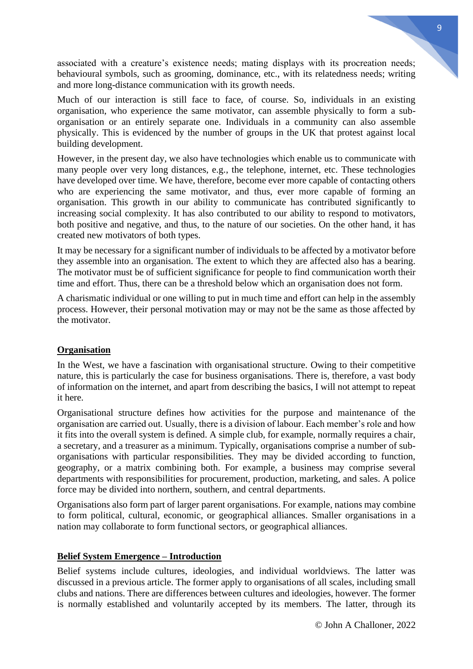associated with a creature's existence needs; mating displays with its procreation needs; behavioural symbols, such as grooming, dominance, etc., with its relatedness needs; writing and more long-distance communication with its growth needs.

Much of our interaction is still face to face, of course. So, individuals in an existing organisation, who experience the same motivator, can assemble physically to form a suborganisation or an entirely separate one. Individuals in a community can also assemble physically. This is evidenced by the number of groups in the UK that protest against local building development.

However, in the present day, we also have technologies which enable us to communicate with many people over very long distances, e.g., the telephone, internet, etc. These technologies have developed over time. We have, therefore, become ever more capable of contacting others who are experiencing the same motivator, and thus, ever more capable of forming an organisation. This growth in our ability to communicate has contributed significantly to increasing social complexity. It has also contributed to our ability to respond to motivators, both positive and negative, and thus, to the nature of our societies. On the other hand, it has created new motivators of both types.

It may be necessary for a significant number of individuals to be affected by a motivator before they assemble into an organisation. The extent to which they are affected also has a bearing. The motivator must be of sufficient significance for people to find communication worth their time and effort. Thus, there can be a threshold below which an organisation does not form.

A charismatic individual or one willing to put in much time and effort can help in the assembly process. However, their personal motivation may or may not be the same as those affected by the motivator.

### **Organisation**

In the West, we have a fascination with organisational structure. Owing to their competitive nature, this is particularly the case for business organisations. There is, therefore, a vast body of information on the internet, and apart from describing the basics, I will not attempt to repeat it here.

Organisational structure defines how activities for the purpose and maintenance of the organisation are carried out. Usually, there is a division of labour. Each member's role and how it fits into the overall system is defined. A simple club, for example, normally requires a chair, a secretary, and a treasurer as a minimum. Typically, organisations comprise a number of suborganisations with particular responsibilities. They may be divided according to function, geography, or a matrix combining both. For example, a business may comprise several departments with responsibilities for procurement, production, marketing, and sales. A police force may be divided into northern, southern, and central departments.

Organisations also form part of larger parent organisations. For example, nations may combine to form political, cultural, economic, or geographical alliances. Smaller organisations in a nation may collaborate to form functional sectors, or geographical alliances.

### **Belief System Emergence – Introduction**

Belief systems include cultures, ideologies, and individual worldviews. The latter was discussed in a previous article. The former apply to organisations of all scales, including small clubs and nations. There are differences between cultures and ideologies, however. The former is normally established and voluntarily accepted by its members. The latter, through its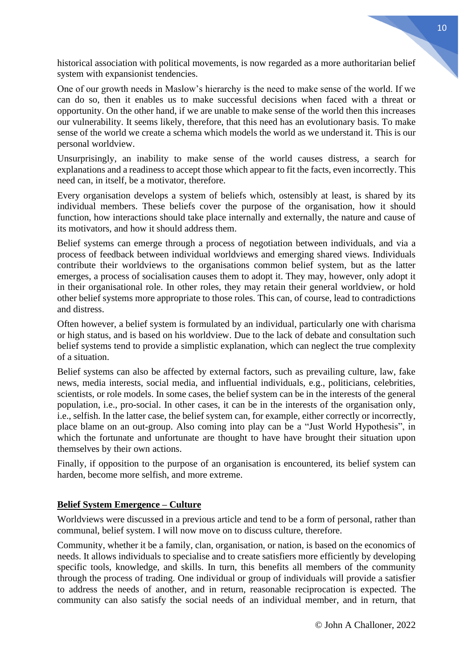historical association with political movements, is now regarded as a more authoritarian belief system with expansionist tendencies.

One of our growth needs in Maslow's hierarchy is the need to make sense of the world. If we can do so, then it enables us to make successful decisions when faced with a threat or opportunity. On the other hand, if we are unable to make sense of the world then this increases our vulnerability. It seems likely, therefore, that this need has an evolutionary basis. To make sense of the world we create a schema which models the world as we understand it. This is our personal worldview.

Unsurprisingly, an inability to make sense of the world causes distress, a search for explanations and a readiness to accept those which appear to fit the facts, even incorrectly. This need can, in itself, be a motivator, therefore.

Every organisation develops a system of beliefs which, ostensibly at least, is shared by its individual members. These beliefs cover the purpose of the organisation, how it should function, how interactions should take place internally and externally, the nature and cause of its motivators, and how it should address them.

Belief systems can emerge through a process of negotiation between individuals, and via a process of feedback between individual worldviews and emerging shared views. Individuals contribute their worldviews to the organisations common belief system, but as the latter emerges, a process of socialisation causes them to adopt it. They may, however, only adopt it in their organisational role. In other roles, they may retain their general worldview, or hold other belief systems more appropriate to those roles. This can, of course, lead to contradictions and distress.

Often however, a belief system is formulated by an individual, particularly one with charisma or high status, and is based on his worldview. Due to the lack of debate and consultation such belief systems tend to provide a simplistic explanation, which can neglect the true complexity of a situation.

Belief systems can also be affected by external factors, such as prevailing culture, law, fake news, media interests, social media, and influential individuals, e.g., politicians, celebrities, scientists, or role models. In some cases, the belief system can be in the interests of the general population, i.e., pro-social. In other cases, it can be in the interests of the organisation only, i.e., selfish. In the latter case, the belief system can, for example, either correctly or incorrectly, place blame on an out-group. Also coming into play can be a "Just World Hypothesis", in which the fortunate and unfortunate are thought to have have brought their situation upon themselves by their own actions.

Finally, if opposition to the purpose of an organisation is encountered, its belief system can harden, become more selfish, and more extreme.

# **Belief System Emergence – Culture**

Worldviews were discussed in a previous article and tend to be a form of personal, rather than communal, belief system. I will now move on to discuss culture, therefore.

Community, whether it be a family, clan, organisation, or nation, is based on the economics of needs. It allows individuals to specialise and to create satisfiers more efficiently by developing specific tools, knowledge, and skills. In turn, this benefits all members of the community through the process of trading. One individual or group of individuals will provide a satisfier to address the needs of another, and in return, reasonable reciprocation is expected. The community can also satisfy the social needs of an individual member, and in return, that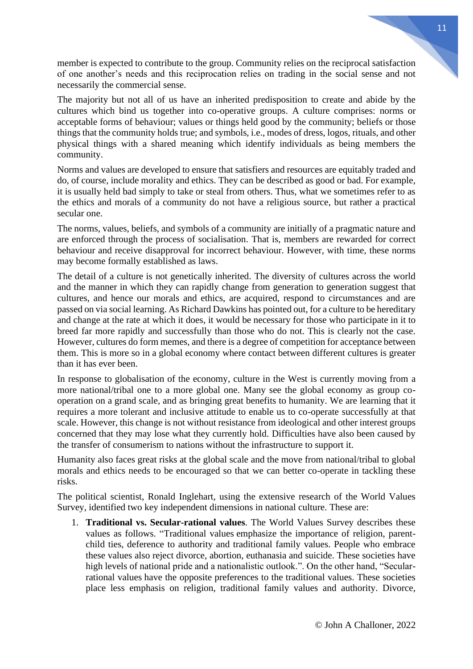member is expected to contribute to the group. Community relies on the reciprocal satisfaction of one another's needs and this reciprocation relies on trading in the social sense and not necessarily the commercial sense.

The majority but not all of us have an inherited predisposition to create and abide by the cultures which bind us together into co-operative groups. A culture comprises: norms or acceptable forms of behaviour; values or things held good by the community; beliefs or those things that the community holds true; and symbols, i.e., modes of dress, logos, rituals, and other physical things with a shared meaning which identify individuals as being members the community.

Norms and values are developed to ensure that satisfiers and resources are equitably traded and do, of course, include morality and ethics. They can be described as good or bad. For example, it is usually held bad simply to take or steal from others. Thus, what we sometimes refer to as the ethics and morals of a community do not have a religious source, but rather a practical secular one.

The norms, values, beliefs, and symbols of a community are initially of a pragmatic nature and are enforced through the process of socialisation. That is, members are rewarded for correct behaviour and receive disapproval for incorrect behaviour. However, with time, these norms may become formally established as laws.

The detail of a culture is not genetically inherited. The diversity of cultures across the world and the manner in which they can rapidly change from generation to generation suggest that cultures, and hence our morals and ethics, are acquired, respond to circumstances and are passed on via social learning. As Richard Dawkins has pointed out, for a culture to be hereditary and change at the rate at which it does, it would be necessary for those who participate in it to breed far more rapidly and successfully than those who do not. This is clearly not the case. However, cultures do form memes, and there is a degree of competition for acceptance between them. This is more so in a global economy where contact between different cultures is greater than it has ever been.

In response to globalisation of the economy, culture in the West is currently moving from a more national/tribal one to a more global one. Many see the global economy as group cooperation on a grand scale, and as bringing great benefits to humanity. We are learning that it requires a more tolerant and inclusive attitude to enable us to co-operate successfully at that scale. However, this change is not without resistance from ideological and other interest groups concerned that they may lose what they currently hold. Difficulties have also been caused by the transfer of consumerism to nations without the infrastructure to support it.

Humanity also faces great risks at the global scale and the move from national/tribal to global morals and ethics needs to be encouraged so that we can better co-operate in tackling these risks.

The political scientist, Ronald Inglehart, using the extensive research of the World Values Survey, identified two key independent dimensions in national culture. These are:

1. **Traditional vs. Secular-rational values**. The World Values Survey describes these values as follows. "Traditional values emphasize the importance of religion, parentchild ties, deference to authority and traditional family values. People who embrace these values also reject divorce, abortion, euthanasia and suicide. These societies have high levels of national pride and a nationalistic outlook.". On the other hand, "Secularrational values have the opposite preferences to the traditional values. These societies place less emphasis on religion, traditional family values and authority. Divorce,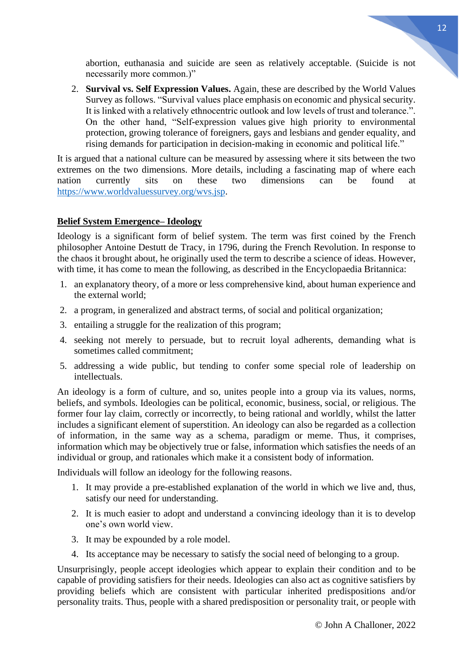abortion, euthanasia and suicide are seen as relatively acceptable. (Suicide is not necessarily more common.)"

2. **Survival vs. Self Expression Values.** Again, these are described by the World Values Survey as follows. "Survival values place emphasis on economic and physical security. It is linked with a relatively ethnocentric outlook and low levels of trust and tolerance.". On the other hand, "Self-expression values give high priority to environmental protection, growing tolerance of foreigners, gays and lesbians and gender equality, and rising demands for participation in decision-making in economic and political life."

It is argued that a national culture can be measured by assessing where it sits between the two extremes on the two dimensions. More details, including a fascinating map of where each<br>nation currently sits on these two dimensions can be found at nation currently sits on these two dimensions can be found at [https://www.worldvaluessurvey.org/wvs.jsp.](https://www.worldvaluessurvey.org/wvs.jsp)

# **Belief System Emergence– Ideology**

Ideology is a significant form of belief system. The term was first coined by the French philosopher Antoine Destutt de Tracy, in 1796, during the French Revolution. In response to the chaos it brought about, he originally used the term to describe a science of ideas. However, with time, it has come to mean the following, as described in the Encyclopaedia Britannica:

- 1. an explanatory theory, of a more or less comprehensive kind, about human experience and the external world;
- 2. a program, in generalized and abstract terms, of social and political organization;
- 3. entailing a struggle for the realization of this program;
- 4. seeking not merely to persuade, but to recruit loyal adherents, demanding what is sometimes called commitment;
- 5. addressing a wide public, but tending to confer some special role of leadership on intellectuals.

An ideology is a form of culture, and so, unites people into a group via its values, norms, beliefs, and symbols. Ideologies can be political, economic, business, social, or religious. The former four lay claim, correctly or incorrectly, to being rational and worldly, whilst the latter includes a significant element of superstition. An ideology can also be regarded as a collection of information, in the same way as a schema, paradigm or meme. Thus, it comprises, information which may be objectively true or false, information which satisfies the needs of an individual or group, and rationales which make it a consistent body of information.

Individuals will follow an ideology for the following reasons.

- 1. It may provide a pre-established explanation of the world in which we live and, thus, satisfy our need for understanding.
- 2. It is much easier to adopt and understand a convincing ideology than it is to develop one's own world view.
- 3. It may be expounded by a role model.
- 4. Its acceptance may be necessary to satisfy the social need of belonging to a group.

Unsurprisingly, people accept ideologies which appear to explain their condition and to be capable of providing satisfiers for their needs. Ideologies can also act as cognitive satisfiers by providing beliefs which are consistent with particular inherited predispositions and/or personality traits. Thus, people with a shared predisposition or personality trait, or people with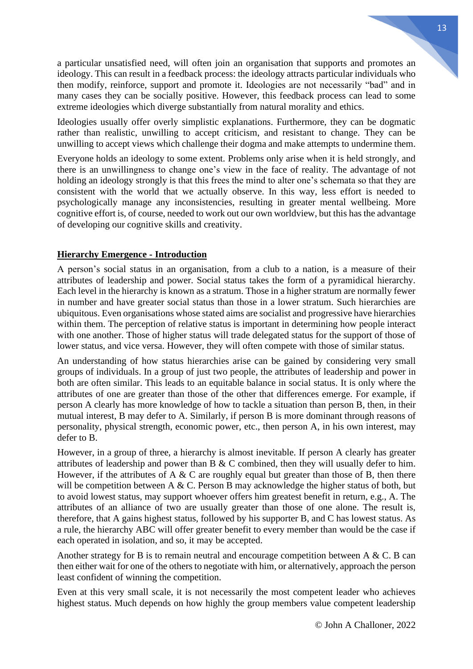a particular unsatisfied need, will often join an organisation that supports and promotes an ideology. This can result in a feedback process: the ideology attracts particular individuals who then modify, reinforce, support and promote it. Ideologies are not necessarily "bad" and in many cases they can be socially positive. However, this feedback process can lead to some extreme ideologies which diverge substantially from natural morality and ethics.

Ideologies usually offer overly simplistic explanations. Furthermore, they can be dogmatic rather than realistic, unwilling to accept criticism, and resistant to change. They can be unwilling to accept views which challenge their dogma and make attempts to undermine them.

Everyone holds an ideology to some extent. Problems only arise when it is held strongly, and there is an unwillingness to change one's view in the face of reality. The advantage of not holding an ideology strongly is that this frees the mind to alter one's schemata so that they are consistent with the world that we actually observe. In this way, less effort is needed to psychologically manage any inconsistencies, resulting in greater mental wellbeing. More cognitive effort is, of course, needed to work out our own worldview, but this has the advantage of developing our cognitive skills and creativity.

### **Hierarchy Emergence - Introduction**

A person's social status in an organisation, from a club to a nation, is a measure of their attributes of leadership and power. Social status takes the form of a pyramidical hierarchy. Each level in the hierarchy is known as a stratum. Those in a higher stratum are normally fewer in number and have greater social status than those in a lower stratum. Such hierarchies are ubiquitous. Even organisations whose stated aims are socialist and progressive have hierarchies within them. The perception of relative status is important in determining how people interact with one another. Those of higher status will trade delegated status for the support of those of lower status, and vice versa. However, they will often compete with those of similar status.

An understanding of how status hierarchies arise can be gained by considering very small groups of individuals. In a group of just two people, the attributes of leadership and power in both are often similar. This leads to an equitable balance in social status. It is only where the attributes of one are greater than those of the other that differences emerge. For example, if person A clearly has more knowledge of how to tackle a situation than person B, then, in their mutual interest, B may defer to A. Similarly, if person B is more dominant through reasons of personality, physical strength, economic power, etc., then person A, in his own interest, may defer to B.

However, in a group of three, a hierarchy is almost inevitable. If person A clearly has greater attributes of leadership and power than B & C combined, then they will usually defer to him. However, if the attributes of A & C are roughly equal but greater than those of B, then there will be competition between A & C. Person B may acknowledge the higher status of both, but to avoid lowest status, may support whoever offers him greatest benefit in return, e.g., A. The attributes of an alliance of two are usually greater than those of one alone. The result is, therefore, that A gains highest status, followed by his supporter B, and C has lowest status. As a rule, the hierarchy ABC will offer greater benefit to every member than would be the case if each operated in isolation, and so, it may be accepted.

Another strategy for B is to remain neutral and encourage competition between A & C. B can then either wait for one of the others to negotiate with him, or alternatively, approach the person least confident of winning the competition.

Even at this very small scale, it is not necessarily the most competent leader who achieves highest status. Much depends on how highly the group members value competent leadership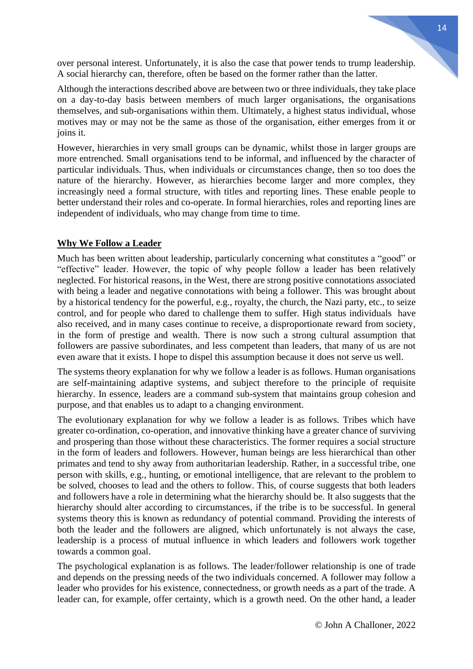over personal interest. Unfortunately, it is also the case that power tends to trump leadership. A social hierarchy can, therefore, often be based on the former rather than the latter.

Although the interactions described above are between two or three individuals, they take place on a day-to-day basis between members of much larger organisations, the organisations themselves, and sub-organisations within them. Ultimately, a highest status individual, whose motives may or may not be the same as those of the organisation, either emerges from it or joins it.

However, hierarchies in very small groups can be dynamic, whilst those in larger groups are more entrenched. Small organisations tend to be informal, and influenced by the character of particular individuals. Thus, when individuals or circumstances change, then so too does the nature of the hierarchy. However, as hierarchies become larger and more complex, they increasingly need a formal structure, with titles and reporting lines. These enable people to better understand their roles and co-operate. In formal hierarchies, roles and reporting lines are independent of individuals, who may change from time to time.

### **Why We Follow a Leader**

Much has been written about leadership, particularly concerning what constitutes a "good" or "effective" leader. However, the topic of why people follow a leader has been relatively neglected. For historical reasons, in the West, there are strong positive connotations associated with being a leader and negative connotations with being a follower. This was brought about by a historical tendency for the powerful, e.g., royalty, the church, the Nazi party, etc., to seize control, and for people who dared to challenge them to suffer. High status individuals have also received, and in many cases continue to receive, a disproportionate reward from society, in the form of prestige and wealth. There is now such a strong cultural assumption that followers are passive subordinates, and less competent than leaders, that many of us are not even aware that it exists. I hope to dispel this assumption because it does not serve us well.

The systems theory explanation for why we follow a leader is as follows. Human organisations are self-maintaining adaptive systems, and subject therefore to the principle of requisite hierarchy. In essence, leaders are a command sub-system that maintains group cohesion and purpose, and that enables us to adapt to a changing environment.

The evolutionary explanation for why we follow a leader is as follows. Tribes which have greater co-ordination, co-operation, and innovative thinking have a greater chance of surviving and prospering than those without these characteristics. The former requires a social structure in the form of leaders and followers. However, human beings are less hierarchical than other primates and tend to shy away from authoritarian leadership. Rather, in a successful tribe, one person with skills, e.g., hunting, or emotional intelligence, that are relevant to the problem to be solved, chooses to lead and the others to follow. This, of course suggests that both leaders and followers have a role in determining what the hierarchy should be. It also suggests that the hierarchy should alter according to circumstances, if the tribe is to be successful. In general systems theory this is known as redundancy of potential command. Providing the interests of both the leader and the followers are aligned, which unfortunately is not always the case, leadership is a process of mutual influence in which leaders and followers work together towards a common goal.

The psychological explanation is as follows. The leader/follower relationship is one of trade and depends on the pressing needs of the two individuals concerned. A follower may follow a leader who provides for his existence, connectedness, or growth needs as a part of the trade. A leader can, for example, offer certainty, which is a growth need. On the other hand, a leader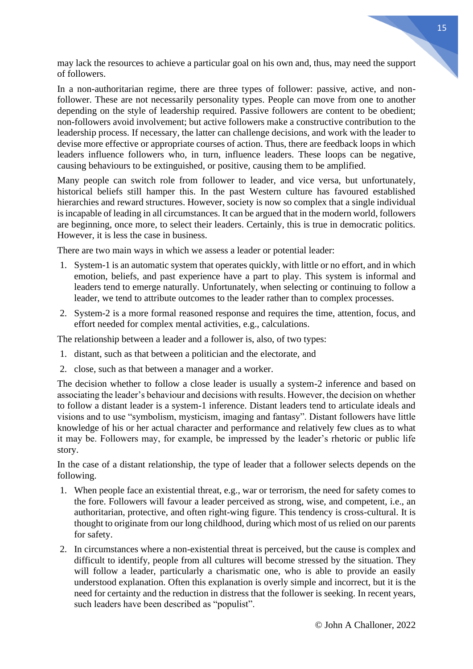may lack the resources to achieve a particular goal on his own and, thus, may need the support of followers.

In a non-authoritarian regime, there are three types of follower: passive, active, and nonfollower. These are not necessarily personality types. People can move from one to another depending on the style of leadership required. Passive followers are content to be obedient; non-followers avoid involvement; but active followers make a constructive contribution to the leadership process. If necessary, the latter can challenge decisions, and work with the leader to devise more effective or appropriate courses of action. Thus, there are feedback loops in which leaders influence followers who, in turn, influence leaders. These loops can be negative, causing behaviours to be extinguished, or positive, causing them to be amplified.

Many people can switch role from follower to leader, and vice versa, but unfortunately, historical beliefs still hamper this. In the past Western culture has favoured established hierarchies and reward structures. However, society is now so complex that a single individual is incapable of leading in all circumstances. It can be argued that in the modern world, followers are beginning, once more, to select their leaders. Certainly, this is true in democratic politics. However, it is less the case in business.

There are two main ways in which we assess a leader or potential leader:

- 1. System-1 is an automatic system that operates quickly, with little or no effort, and in which emotion, beliefs, and past experience have a part to play. This system is informal and leaders tend to emerge naturally. Unfortunately, when selecting or continuing to follow a leader, we tend to attribute outcomes to the leader rather than to complex processes.
- 2. System-2 is a more formal reasoned response and requires the time, attention, focus, and effort needed for complex mental activities, e.g., calculations.

The relationship between a leader and a follower is, also, of two types:

- 1. distant, such as that between a politician and the electorate, and
- 2. close, such as that between a manager and a worker.

The decision whether to follow a close leader is usually a system-2 inference and based on associating the leader's behaviour and decisions with results. However, the decision on whether to follow a distant leader is a system-1 inference. Distant leaders tend to articulate ideals and visions and to use "symbolism, mysticism, imaging and fantasy". Distant followers have little knowledge of his or her actual character and performance and relatively few clues as to what it may be. Followers may, for example, be impressed by the leader's rhetoric or public life story.

In the case of a distant relationship, the type of leader that a follower selects depends on the following.

- 1. When people face an existential threat, e.g., war or terrorism, the need for safety comes to the fore. Followers will favour a leader perceived as strong, wise, and competent, i.e., an authoritarian, protective, and often right-wing figure. This tendency is cross-cultural. It is thought to originate from our long childhood, during which most of us relied on our parents for safety.
- 2. In circumstances where a non-existential threat is perceived, but the cause is complex and difficult to identify, people from all cultures will become stressed by the situation. They will follow a leader, particularly a charismatic one, who is able to provide an easily understood explanation. Often this explanation is overly simple and incorrect, but it is the need for certainty and the reduction in distress that the follower is seeking. In recent years, such leaders have been described as "populist".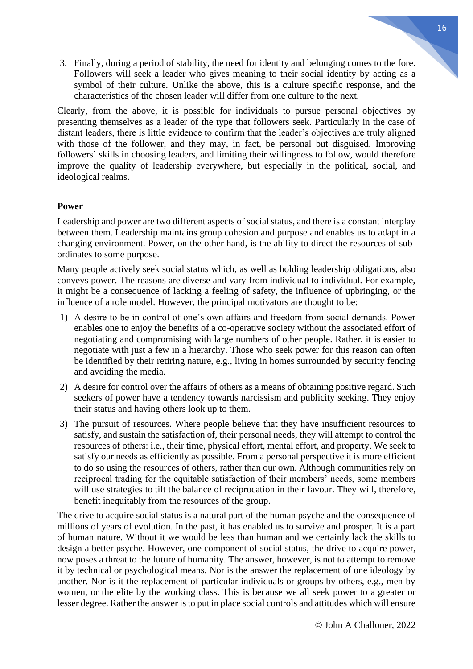3. Finally, during a period of stability, the need for identity and belonging comes to the fore. Followers will seek a leader who gives meaning to their social identity by acting as a symbol of their culture. Unlike the above, this is a culture specific response, and the characteristics of the chosen leader will differ from one culture to the next.

Clearly, from the above, it is possible for individuals to pursue personal objectives by presenting themselves as a leader of the type that followers seek. Particularly in the case of distant leaders, there is little evidence to confirm that the leader's objectives are truly aligned with those of the follower, and they may, in fact, be personal but disguised. Improving followers' skills in choosing leaders, and limiting their willingness to follow, would therefore improve the quality of leadership everywhere, but especially in the political, social, and ideological realms.

## **Power**

Leadership and power are two different aspects of social status, and there is a constant interplay between them. Leadership maintains group cohesion and purpose and enables us to adapt in a changing environment. Power, on the other hand, is the ability to direct the resources of subordinates to some purpose.

Many people actively seek social status which, as well as holding leadership obligations, also conveys power. The reasons are diverse and vary from individual to individual. For example, it might be a consequence of lacking a feeling of safety, the influence of upbringing, or the influence of a role model. However, the principal motivators are thought to be:

- 1) A desire to be in control of one's own affairs and freedom from social demands. Power enables one to enjoy the benefits of a co-operative society without the associated effort of negotiating and compromising with large numbers of other people. Rather, it is easier to negotiate with just a few in a hierarchy. Those who seek power for this reason can often be identified by their retiring nature, e.g., living in homes surrounded by security fencing and avoiding the media.
- 2) A desire for control over the affairs of others as a means of obtaining positive regard. Such seekers of power have a tendency towards narcissism and publicity seeking. They enjoy their status and having others look up to them.
- 3) The pursuit of resources. Where people believe that they have insufficient resources to satisfy, and sustain the satisfaction of, their personal needs, they will attempt to control the resources of others: i.e., their time, physical effort, mental effort, and property. We seek to satisfy our needs as efficiently as possible. From a personal perspective it is more efficient to do so using the resources of others, rather than our own. Although communities rely on reciprocal trading for the equitable satisfaction of their members' needs, some members will use strategies to tilt the balance of reciprocation in their favour. They will, therefore, benefit inequitably from the resources of the group.

The drive to acquire social status is a natural part of the human psyche and the consequence of millions of years of evolution. In the past, it has enabled us to survive and prosper. It is a part of human nature. Without it we would be less than human and we certainly lack the skills to design a better psyche. However, one component of social status, the drive to acquire power, now poses a threat to the future of humanity. The answer, however, is not to attempt to remove it by technical or psychological means. Nor is the answer the replacement of one ideology by another. Nor is it the replacement of particular individuals or groups by others, e.g., men by women, or the elite by the working class. This is because we all seek power to a greater or lesser degree. Rather the answer is to put in place social controls and attitudes which will ensure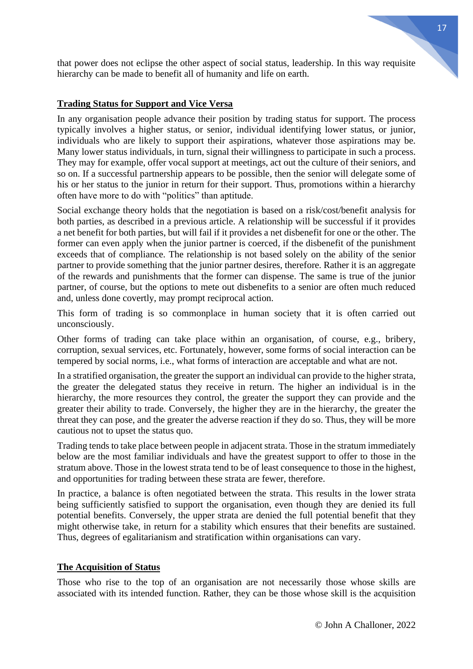that power does not eclipse the other aspect of social status, leadership. In this way requisite hierarchy can be made to benefit all of humanity and life on earth.

### **Trading Status for Support and Vice Versa**

In any organisation people advance their position by trading status for support. The process typically involves a higher status, or senior, individual identifying lower status, or junior, individuals who are likely to support their aspirations, whatever those aspirations may be. Many lower status individuals, in turn, signal their willingness to participate in such a process. They may for example, offer vocal support at meetings, act out the culture of their seniors, and so on. If a successful partnership appears to be possible, then the senior will delegate some of his or her status to the junior in return for their support. Thus, promotions within a hierarchy often have more to do with "politics" than aptitude.

Social exchange theory holds that the negotiation is based on a risk/cost/benefit analysis for both parties, as described in a previous article. A relationship will be successful if it provides a net benefit for both parties, but will fail if it provides a net disbenefit for one or the other. The former can even apply when the junior partner is coerced, if the disbenefit of the punishment exceeds that of compliance. The relationship is not based solely on the ability of the senior partner to provide something that the junior partner desires, therefore. Rather it is an aggregate of the rewards and punishments that the former can dispense. The same is true of the junior partner, of course, but the options to mete out disbenefits to a senior are often much reduced and, unless done covertly, may prompt reciprocal action.

This form of trading is so commonplace in human society that it is often carried out unconsciously.

Other forms of trading can take place within an organisation, of course, e.g., bribery, corruption, sexual services, etc. Fortunately, however, some forms of social interaction can be tempered by social norms, i.e., what forms of interaction are acceptable and what are not.

In a stratified organisation, the greater the support an individual can provide to the higher strata, the greater the delegated status they receive in return. The higher an individual is in the hierarchy, the more resources they control, the greater the support they can provide and the greater their ability to trade. Conversely, the higher they are in the hierarchy, the greater the threat they can pose, and the greater the adverse reaction if they do so. Thus, they will be more cautious not to upset the status quo.

Trading tends to take place between people in adjacent strata. Those in the stratum immediately below are the most familiar individuals and have the greatest support to offer to those in the stratum above. Those in the lowest strata tend to be of least consequence to those in the highest, and opportunities for trading between these strata are fewer, therefore.

In practice, a balance is often negotiated between the strata. This results in the lower strata being sufficiently satisfied to support the organisation, even though they are denied its full potential benefits. Conversely, the upper strata are denied the full potential benefit that they might otherwise take, in return for a stability which ensures that their benefits are sustained. Thus, degrees of egalitarianism and stratification within organisations can vary.

### **The Acquisition of Status**

Those who rise to the top of an organisation are not necessarily those whose skills are associated with its intended function. Rather, they can be those whose skill is the acquisition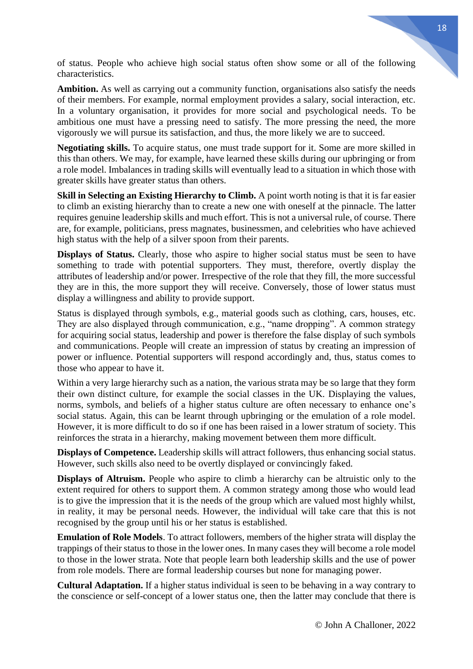of status. People who achieve high social status often show some or all of the following characteristics.

Ambition. As well as carrying out a community function, organisations also satisfy the needs of their members. For example, normal employment provides a salary, social interaction, etc. In a voluntary organisation, it provides for more social and psychological needs. To be ambitious one must have a pressing need to satisfy. The more pressing the need, the more vigorously we will pursue its satisfaction, and thus, the more likely we are to succeed.

**Negotiating skills.** To acquire status, one must trade support for it. Some are more skilled in this than others. We may, for example, have learned these skills during our upbringing or from a role model. Imbalances in trading skills will eventually lead to a situation in which those with greater skills have greater status than others.

**Skill in Selecting an Existing Hierarchy to Climb.** A point worth noting is that it is far easier to climb an existing hierarchy than to create a new one with oneself at the pinnacle. The latter requires genuine leadership skills and much effort. This is not a universal rule, of course. There are, for example, politicians, press magnates, businessmen, and celebrities who have achieved high status with the help of a silver spoon from their parents.

**Displays of Status.** Clearly, those who aspire to higher social status must be seen to have something to trade with potential supporters. They must, therefore, overtly display the attributes of leadership and/or power. Irrespective of the role that they fill, the more successful they are in this, the more support they will receive. Conversely, those of lower status must display a willingness and ability to provide support.

Status is displayed through symbols, e.g., material goods such as clothing, cars, houses, etc. They are also displayed through communication, e.g., "name dropping". A common strategy for acquiring social status, leadership and power is therefore the false display of such symbols and communications. People will create an impression of status by creating an impression of power or influence. Potential supporters will respond accordingly and, thus, status comes to those who appear to have it.

Within a very large hierarchy such as a nation, the various strata may be so large that they form their own distinct culture, for example the social classes in the UK. Displaying the values, norms, symbols, and beliefs of a higher status culture are often necessary to enhance one's social status. Again, this can be learnt through upbringing or the emulation of a role model. However, it is more difficult to do so if one has been raised in a lower stratum of society. This reinforces the strata in a hierarchy, making movement between them more difficult.

**Displays of Competence.** Leadership skills will attract followers, thus enhancing social status. However, such skills also need to be overtly displayed or convincingly faked.

**Displays of Altruism.** People who aspire to climb a hierarchy can be altruistic only to the extent required for others to support them. A common strategy among those who would lead is to give the impression that it is the needs of the group which are valued most highly whilst, in reality, it may be personal needs. However, the individual will take care that this is not recognised by the group until his or her status is established.

**Emulation of Role Models**. To attract followers, members of the higher strata will display the trappings of their status to those in the lower ones. In many cases they will become a role model to those in the lower strata. Note that people learn both leadership skills and the use of power from role models. There are formal leadership courses but none for managing power.

**Cultural Adaptation.** If a higher status individual is seen to be behaving in a way contrary to the conscience or self-concept of a lower status one, then the latter may conclude that there is